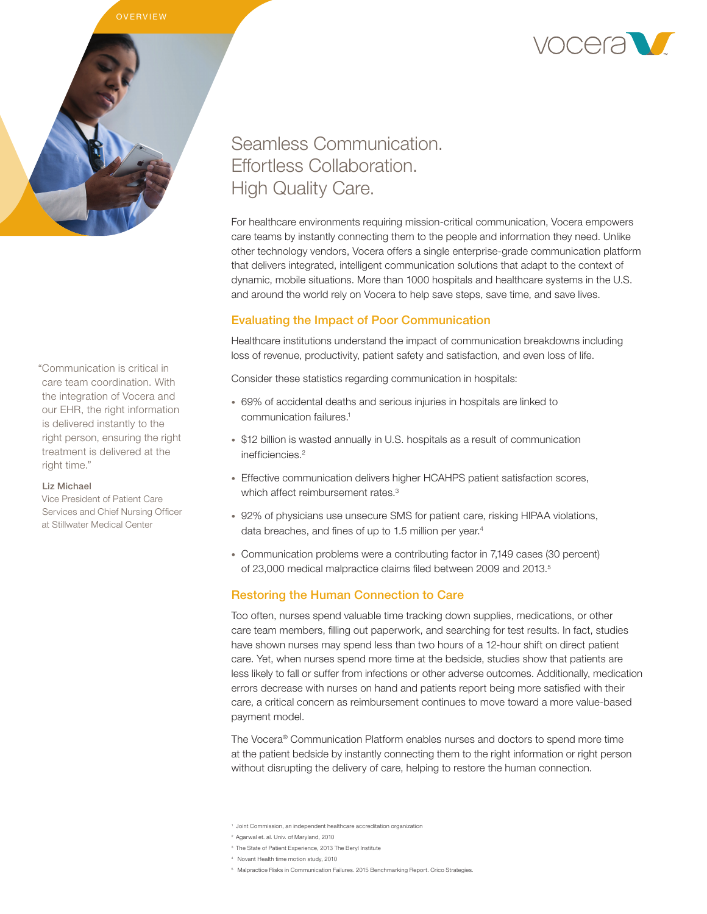

"Communication is critical in care team coordination. With the integration of Vocera and our EHR, the right information is delivered instantly to the right person, ensuring the right treatment is delivered at the right time."

#### Liz Michael

Vice President of Patient Care Services and Chief Nursing Officer at Stillwater Medical Center

# Seamless Communication. Effortless Collaboration. High Quality Care.

For healthcare environments requiring mission-critical communication, Vocera empowers care teams by instantly connecting them to the people and information they need. Unlike other technology vendors, Vocera offers a single enterprise-grade communication platform that delivers integrated, intelligent communication solutions that adapt to the context of dynamic, mobile situations. More than 1000 hospitals and healthcare systems in the U.S. and around the world rely on Vocera to help save steps, save time, and save lives.

# Evaluating the Impact of Poor Communication

Healthcare institutions understand the impact of communication breakdowns including loss of revenue, productivity, patient safety and satisfaction, and even loss of life.

Consider these statistics regarding communication in hospitals:

- 69% of accidental deaths and serious injuries in hospitals are linked to communication failures.<sup>1</sup>
- \$12 billion is wasted annually in U.S. hospitals as a result of communication inefficiencies.2
- Effective communication delivers higher HCAHPS patient satisfaction scores, which affect reimbursement rates.<sup>3</sup>
- 92% of physicians use unsecure SMS for patient care, risking HIPAA violations, data breaches, and fines of up to 1.5 million per year.<sup>4</sup>
- Communication problems were a contributing factor in 7,149 cases (30 percent) of 23,000 medical malpractice claims filed between 2009 and 2013.<sup>5</sup>

## Restoring the Human Connection to Care

Too often, nurses spend valuable time tracking down supplies, medications, or other care team members, filling out paperwork, and searching for test results. In fact, studies have shown nurses may spend less than two hours of a 12-hour shift on direct patient care. Yet, when nurses spend more time at the bedside, studies show that patients are less likely to fall or suffer from infections or other adverse outcomes. Additionally, medication errors decrease with nurses on hand and patients report being more satisfied with their care, a critical concern as reimbursement continues to move toward a more value-based payment model.

The Vocera® Communication Platform enables nurses and doctors to spend more time at the patient bedside by instantly connecting them to the right information or right person without disrupting the delivery of care, helping to restore the human connection.



<sup>1</sup> Joint Commission, an independent healthcare accreditation organization

<sup>2</sup> Agarwal et. al. Univ. of Maryland, 2010

<sup>3</sup> The State of Patient Experience, 2013 The Beryl Institute

<sup>4</sup> Novant Health time motion study, 2010

<sup>5</sup> Malpractice Risks in Communication Failures. 2015 Benchmarking Report. Crico Strategies.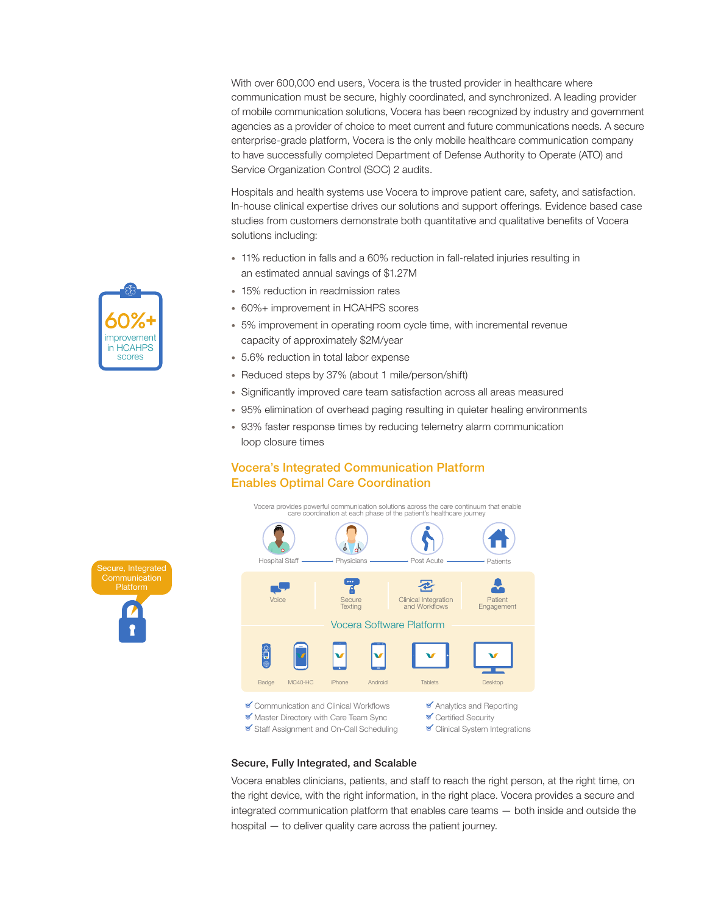With over 600,000 end users, Vocera is the trusted provider in healthcare where communication must be secure, highly coordinated, and synchronized. A leading provider of mobile communication solutions, Vocera has been recognized by industry and government agencies as a provider of choice to meet current and future communications needs. A secure enterprise-grade platform, Vocera is the only mobile healthcare communication company to have successfully completed Department of Defense Authority to Operate (ATO) and Service Organization Control (SOC) 2 audits.

Hospitals and health systems use Vocera to improve patient care, safety, and satisfaction. In-house clinical expertise drives our solutions and support offerings. Evidence based case studies from customers demonstrate both quantitative and qualitative benefits of Vocera solutions including:

- 11% reduction in falls and a 60% reduction in fall-related injuries resulting in an estimated annual savings of \$1.27M
- 15% reduction in readmission rates
- 60%+ improvement in HCAHPS scores
- 5% improvement in operating room cycle time, with incremental revenue capacity of approximately \$2M/year
- 5.6% reduction in total labor expense
- Reduced steps by 37% (about 1 mile/person/shift)
- Significantly improved care team satisfaction across all areas measured
- 95% elimination of overhead paging resulting in quieter healing environments
- 93% faster response times by reducing telemetry alarm communication loop closure times

# Vocera's Integrated Communication Platform Enables Optimal Care Coordination

Vocera provides powerful communication solutions across the care continuum that enable



#### Secure, Fully Integrated, and Scalable

Vocera enables clinicians, patients, and staff to reach the right person, at the right time, on the right device, with the right information, in the right place. Vocera provides a secure and integrated communication platform that enables care teams — both inside and outside the hospital — to deliver quality care across the patient journey.



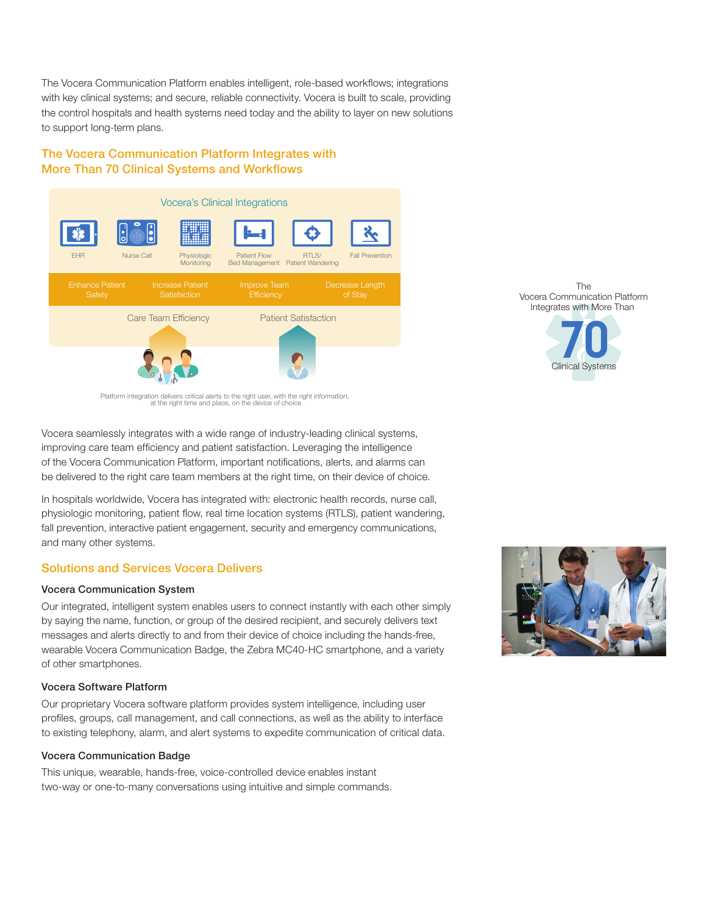The Vocera Communication Platform enables intelligent, role-based workflows; integrations with key clinical systems; and secure, reliable connectivity. Vocera is built to scale, providing the control hospitals and health systems need today and the ability to layer on new solutions to support long-term plans.

# The Vocera Communication Platform Integrates with More Than 70 Clinical Systems and Workflows



Platform integration delivers critical alerts to the right user, with the right information, at the right time and place, on the device of choice

Vocera seamlessly integrates with a wide range of industry-leading clinical systems, improving care team efficiency and patient satisfaction. Leveraging the intelligence of the Vocera Communication Platform, important notifications, alerts, and alarms can be delivered to the right care team members at the right time, on their device of choice.

In hospitals worldwide, Vocera has integrated with: electronic health records, nurse call, physiologic monitoring, patient flow, real time location systems (RTLS), patient wandering, fall prevention, interactive patient engagement, security and emergency communications, and many other systems.

# Solutions and Services Vocera Delivers

## Vocera Communication System

Our integrated, intelligent system enables users to connect instantly with each other simply by saying the name, function, or group of the desired recipient, and securely delivers text messages and alerts directly to and from their device of choice including the hands-free, wearable Vocera Communication Badge, the Zebra MC40-HC smartphone, and a variety of other smartphones.

## Vocera Software Platform

Our proprietary Vocera software platform provides system intelligence, including user profiles, groups, call management, and call connections, as well as the ability to interface to existing telephony, alarm, and alert systems to expedite communication of critical data.

### Vocera Communication Badge

This unique, wearable, hands-free, voice-controlled device enables instant two-way or one-to-many conversations using intuitive and simple commands.